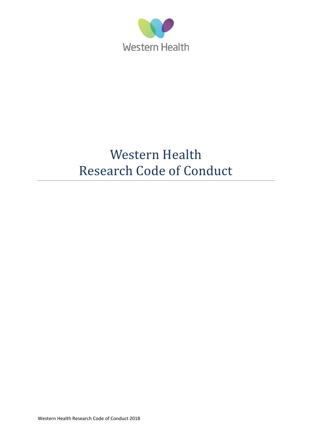

# Western Health Research Code of Conduct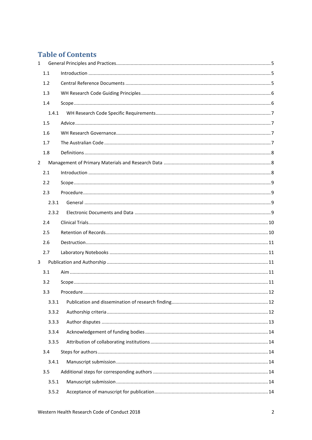## **Table of Contents**

| $\mathbf{1}$   |       |           |  |
|----------------|-------|-----------|--|
|                | 1.1   |           |  |
|                | 1.2   |           |  |
|                | 1.3   |           |  |
|                | 1.4   |           |  |
|                | 1.4.1 |           |  |
|                | 1.5   |           |  |
|                | 1.6   |           |  |
|                | 1.7   |           |  |
|                | 1.8   |           |  |
| $\overline{2}$ |       |           |  |
|                | 2.1   |           |  |
|                | 2.2   |           |  |
|                | 2.3   |           |  |
|                | 2.3.1 |           |  |
|                | 2.3.2 |           |  |
|                | 2.4   |           |  |
|                | 2.5   |           |  |
|                | 2.6   |           |  |
|                | 2.7   |           |  |
| 3              |       |           |  |
|                | 3.1   |           |  |
|                | 3.2   |           |  |
|                | 3.3   | Procedure |  |
|                | 3.3.1 |           |  |
|                | 3.3.2 |           |  |
|                | 3.3.3 |           |  |
|                | 3.3.4 |           |  |
|                | 3.3.5 |           |  |
|                | 3.4   |           |  |
|                | 3.4.1 |           |  |
|                | 3.5   |           |  |
|                | 3.5.1 |           |  |
|                | 3.5.2 |           |  |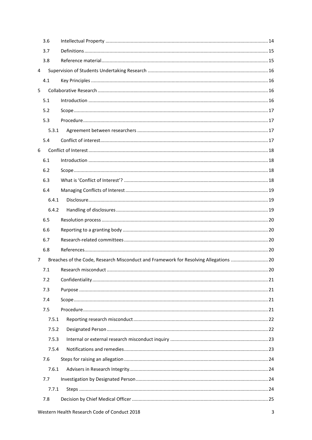|                | 3.6   |                                                                                       |      |
|----------------|-------|---------------------------------------------------------------------------------------|------|
|                | 3.7   |                                                                                       |      |
|                | 3.8   |                                                                                       |      |
| $\overline{4}$ |       |                                                                                       |      |
|                | 4.1   |                                                                                       |      |
| 5              |       |                                                                                       |      |
|                | 5.1   |                                                                                       |      |
|                | 5.2   |                                                                                       |      |
|                | 5.3   |                                                                                       |      |
|                | 5.3.1 |                                                                                       |      |
|                | 5.4   |                                                                                       |      |
| 6              |       |                                                                                       |      |
|                | 6.1   |                                                                                       |      |
|                | 6.2   |                                                                                       |      |
|                | 6.3   |                                                                                       |      |
|                | 6.4   |                                                                                       |      |
|                | 6.4.1 |                                                                                       |      |
|                | 6.4.2 |                                                                                       |      |
|                | 6.5   |                                                                                       |      |
|                | 6.6   |                                                                                       |      |
|                | 6.7   |                                                                                       |      |
|                | 6.8   |                                                                                       |      |
| 7              |       | Breaches of the Code, Research Misconduct and Framework for Resolving Allegations  20 |      |
|                | 7.1   |                                                                                       | . 20 |
|                | 7.2   |                                                                                       |      |
|                | 7.3   |                                                                                       |      |
|                | 7.4   |                                                                                       |      |
|                | 7.5   |                                                                                       |      |
|                | 7.5.1 |                                                                                       |      |
|                | 7.5.2 |                                                                                       |      |
|                | 7.5.3 |                                                                                       |      |
|                | 7.5.4 |                                                                                       |      |
|                | 7.6   |                                                                                       |      |
|                | 7.6.1 |                                                                                       |      |
|                | 7.7   |                                                                                       |      |
|                | 7.7.1 |                                                                                       |      |
|                | 7.8   |                                                                                       |      |
|                |       |                                                                                       |      |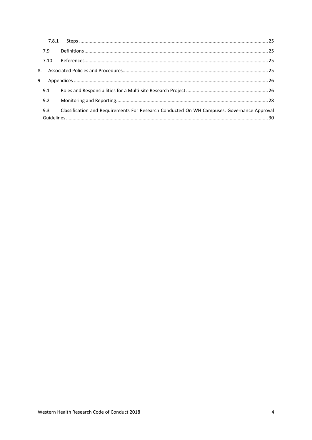|   | 7.9  |                                                                                            |  |
|---|------|--------------------------------------------------------------------------------------------|--|
|   | 7.10 |                                                                                            |  |
|   |      |                                                                                            |  |
| 9 |      |                                                                                            |  |
|   | 9.1  |                                                                                            |  |
|   | 9.2  |                                                                                            |  |
|   | 9.3  | Classification and Requirements For Research Conducted On WH Campuses: Governance Approval |  |
|   |      |                                                                                            |  |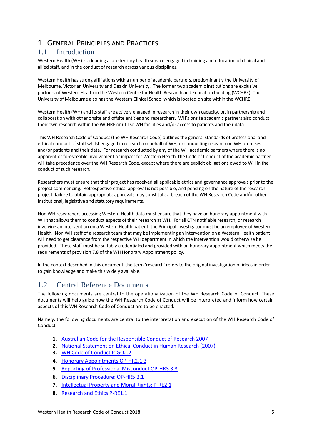## <span id="page-4-0"></span>1 GENERAL PRINCIPLES AND PRACTICES

### <span id="page-4-1"></span>1.1 Introduction

Western Health (WH) is a leading acute tertiary health service engaged in training and education of clinical and allied staff, and in the conduct of research across various disciplines.

Western Health has strong affiliations with a number of academic partners, predominantly the University of Melbourne, Victorian University and Deakin University. The former two academic institutions are exclusive partners of Western Health in the Western Centre for Health Research and Education building (WCHRE). The University of Melbourne also has the Western Clinical School which is located on site within the WCHRE.

Western Health (WH) and its staff are actively engaged in research in their own capacity, or, in partnership and collaboration with other onsite and offsite entities and researchers. WH's onsite academic partners also conduct their own research within the WCHRE or utilise WH facilities and/or access to patients and their data.

This WH Research Code of Conduct (the WH Research Code) outlines the general standards of professional and ethical conduct of staff whilst engaged in research on behalf of WH, or conducting research on WH premises and/or patients and their data. For research conducted by any of the WH academic partners where there is no apparent or foreseeable involvement or impact for Western Health, the Code of Conduct of the academic partner will take precedence over the WH Research Code, except where there are explicit obligations owed to WH in the conduct of such research.

Researchers must ensure that their project has received all applicable ethics and governance approvals prior to the project commencing. Retrospective ethical approval is not possible, and pending on the nature of the research project, failure to obtain appropriate approvals may constitute a breach of the WH Research Code and/or other institutional, legislative and statutory requirements.

Non WH researchers accessing Western Health data must ensure that they have an honorary appointment with WH that allows them to conduct aspects of their research at WH. For all CTN notifiable research, or research involving an intervention on a Western Health patient, the Principal investigator must be an employee of Western Health. Non WH staff of a research team that may be implementing an intervention on a Western Health patient will need to get clearance from the respective WH department in which the intervention would otherwise be provided. These staff must be suitably credentialed and provided with an honorary appointment which meets the requirements of provision 7.8 of the WH Honorary Appointment policy.

In the context described in this document, the term 'research' refers to the original investigation of ideas in order to gain knowledge and make this widely available.

### <span id="page-4-2"></span>1.2 Central Reference Documents

The following documents are central to the operationalization of the WH Research Code of Conduct. These documents will help guide how the WH Research Code of Conduct will be interpreted and inform how certain aspects of this WH Research Code of Conduct are to be enacted.

Namely, the following documents are central to the interpretation and execution of the WH Research Code of Conduct

- **1.** [Australian Code for the Responsible Conduct of Research 2007](https://www.nhmrc.gov.au/guidelines-publications/r39)
- **2.** [National Statement on Ethical Conduct in Human Research \(2007\)](https://www.nhmrc.gov.au/guidelines-publications/e72)
- **3.** [WH Code of Conduct P-GO2.2](http://inside.wh.org.au/policies-procedures-forms/_layouts/WordViewer.aspx?id=/policies-procedures-forms/WHDocuments/Code%20of%20Conduct.doc&DefaultItemOpen=1)
- **4.** [Honorary Appointments OP-HR2.1.3](http://inside.wh.org.au/policies-procedures-forms/_layouts/WordViewer.aspx?id=/policies-procedures-forms/WHDocuments/Honorary%20Appointments.doc&DefaultItemOpen=1)
- **5.** [Reporting of Professional Misconduct OP-HR3.3.3](http://inside.wh.org.au/policies-procedures-forms/_layouts/WordViewer.aspx?id=/policies-procedures-forms/WHDocuments/Reporting%20of%20Professional%20Misconduct.docx&DefaultItemOpen=1)
- **6.** [Disciplinary Procedure: OP-HR5.2.1](http://inside.wh.org.au/policies-procedures-forms/_layouts/WordViewer.aspx?id=/policies-procedures-forms/WHDocuments/Disciplinary%20Procedure.docx&DefaultItemOpen=1)
- **7.** [Intellectual Property and Moral Rights: P-RE2.1](http://inside.wh.org.au/policies-procedures-forms/_layouts/WordViewer.aspx?id=/policies-procedures-forms/WHDocuments/Intellectual%20Property%20and%20Moral%20Rights.doc&DefaultItemOpen=1)
- **8.** [Research and Ethics P-RE1.1](http://inside.wh.org.au/policies-procedures-forms/_layouts/WordViewer.aspx?id=/policies-procedures-forms/WHDocuments/Research%20and%20Ethics.doc&DefaultItemOpen=1)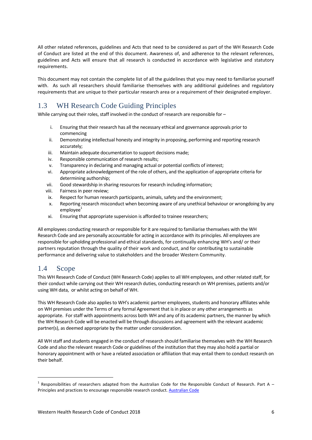All other related references, guidelines and Acts that need to be considered as part of the WH Research Code of Conduct are listed at the end of this document. Awareness of, and adherence to the relevant references, guidelines and Acts will ensure that all research is conducted in accordance with legislative and statutory requirements.

This document may not contain the complete list of all the guidelines that you may need to familiarise yourself with. As such all researchers should familiarise themselves with any additional guidelines and regulatory requirements that are unique to their particular research area or a requirement of their designated employer.

## <span id="page-5-0"></span>1.3 WH Research Code Guiding Principles

While carrying out their roles, staff involved in the conduct of research are responsible for  $-$ 

- i. Ensuring that their research has all the necessary ethical and governance approvals prior to commencing
- ii. Demonstrating intellectual honesty and integrity in proposing, performing and reporting research accurately;
- iii. Maintain adequate documentation to support decisions made;
- iv. Responsible communication of research results;
- v. Transparency in declaring and managing actual or potential conflicts of interest;
- vi. Appropriate acknowledgement of the role of others, and the application of appropriate criteria for determining authorship;
- vii. Good stewardship in sharing resources for research including information;
- viii. Fairness in peer review;
- ix. Respect for human research participants, animals, safety and the environment;
- x. Reporting research misconduct when becoming aware of any unethical behaviour or wrongdoing by any  $emplovee<sup>1</sup>$
- xi. Ensuring that appropriate supervision is afforded to trainee researchers;

All employees conducting research or responsible for it are required to familiarise themselves with the WH Research Code and are personally accountable for acting in accordance with its principles. All employees are responsible for upholding professional and ethical standards, for continually enhancing WH's and/ or their partners reputation through the quality of their work and conduct, and for contributing to sustainable performance and delivering value to stakeholders and the broader Western Community.

## <span id="page-5-1"></span>1.4 Scope

**.** 

This WH Research Code of Conduct (WH Research Code) applies to all WH employees, and other related staff, for their conduct while carrying out their WH research duties, conducting research on WH premises, patients and/or using WH data, or whilst acting on behalf of WH.

This WH Research Code also applies to WH's academic partner employees, students and honorary affiliates while on WH premises under the Terms of any formal Agreement that is in place or any other arrangements as appropriate. For staff with appointments across both WH and any of its academic partners, the manner by which the WH Research Code will be enacted will be through discussions and agreement with the relevant academic partner(s), as deemed appropriate by the matter under consideration.

All WH staff and students engaged in the conduct of research should familiarise themselves with the WH Research Code and also the relevant research Code or guidelines of the institution that they may also hold a partial or honorary appointment with or have a related association or affiliation that may entail them to conduct research on their behalf.

 $^1$  Responsibilities of researchers adapted from the Australian Code for the Responsible Conduct of Research. Part A – Principles and practices to encourage responsible research conduct. [Australian Code](https://www.nhmrc.gov.au/guidelines-publications/r39)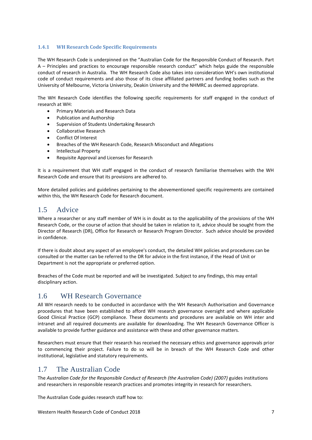#### <span id="page-6-0"></span>**1.4.1 WH Research Code Specific Requirements**

The WH Research Code is underpinned on the "Australian Code for the Responsible Conduct of Research. Part A – Principles and practices to encourage responsible research conduct" which helps guide the responsible conduct of research in Australia. The WH Research Code also takes into consideration WH's own institutional code of conduct requirements and also those of its close affiliated partners and funding bodies such as the University of Melbourne, Victoria University, Deakin University and the NHMRC as deemed appropriate.

The WH Research Code identifies the following specific requirements for staff engaged in the conduct of research at WH:

- Primary Materials and Research Data
- Publication and Authorship
- Supervision of Students Undertaking Research
- Collaborative Research
- Conflict Of Interest
- Breaches of the WH Research Code, Research Misconduct and Allegations
- Intellectual Property
- Requisite Approval and Licenses for Research

It is a requirement that WH staff engaged in the conduct of research familiarise themselves with the WH Research Code and ensure that its provisions are adhered to.

More detailed policies and guidelines pertaining to the abovementioned specific requirements are contained within this, the WH Research Code for Research document.

### <span id="page-6-1"></span>1.5 Advice

Where a researcher or any staff member of WH is in doubt as to the applicability of the provisions of the WH Research Code, or the course of action that should be taken in relation to it, advice should be sought from the Director of Research (DR), Office for Research or Research Program Director. Such advice should be provided in confidence.

If there is doubt about any aspect of an employee's conduct, the detailed WH policies and procedures can be consulted or the matter can be referred to the DR for advice in the first instance, if the Head of Unit or Department is not the appropriate or preferred option.

Breaches of the Code must be reported and will be investigated. Subject to any findings, this may entail disciplinary action.

### <span id="page-6-2"></span>1.6 WH Research Governance

All WH research needs to be conducted in accordance with the WH Research Authorisation and Governance procedures that have been established to afford WH research governance oversight and where applicable Good Clinical Practice (GCP) compliance. These documents and procedures are available on WH inter and intranet and all required documents are available for downloading. The WH Research Governance Officer is available to provide further guidance and assistance with these and other governance matters.

Researchers must ensure that their research has received the necessary ethics and governance approvals prior to commencing their project. Failure to do so will be in breach of the WH Research Code and other institutional, legislative and statutory requirements.

## <span id="page-6-3"></span>1.7 The Australian Code

The *Australian Code for the Responsible Conduct of Research (the Australian Code) (2007)* guides institutions and researchers in responsible research practices and promotes integrity in research for researchers.

The Australian Code guides research staff how to: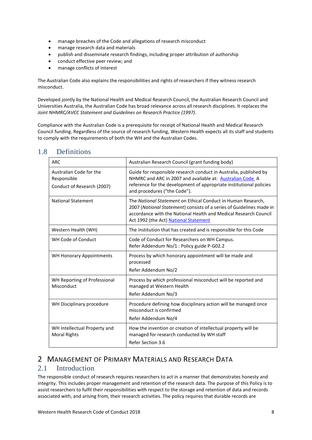- manage breaches of the Code and allegations of research misconduct
- manage research data and materials
- publish and disseminate research findings, including proper attribution of authorship
- conduct effective peer review; and
- manage conflicts of interest

The Australian Code also explains the responsibilities and rights of researchers if they witness research misconduct.

Developed jointly by the National Health and Medical Research Council, the Australian Research Council and Universities Australia, the Australian Code has broad relevance across all research disciplines. It replaces the *Joint NHMRC/AVCC Statement and Guidelines on Research Practice (1997)*.

Compliance with the Australian Code is a prerequisite for receipt of National Health and Medical Research Council funding. Regardless of the source of research funding, Western Health expects all its staff and students to comply with the requirements of both the WH and the Australian Codes.

| <b>ARC</b>                                                           | Australian Research Council (grant funding body)                                                                                                                                                                                                  |
|----------------------------------------------------------------------|---------------------------------------------------------------------------------------------------------------------------------------------------------------------------------------------------------------------------------------------------|
| Australian Code for the<br>Responsible<br>Conduct of Research (2007) | Guide for responsible research conduct in Australia, published by<br>NHMRC and ARC in 2007 and available at: Australian Code A<br>reference for the development of appropriate institutional policies<br>and procedures ("the Code").             |
| <b>National Statement</b>                                            | The National Statement on Ethical Conduct in Human Research,<br>2007 (National Statement) consists of a series of Guidelines made in<br>accordance with the National Health and Medical Research Council<br>Act 1992 (the Act) National Statement |
| Western Health (WH)                                                  | The institution that has created and is responsible for this Code                                                                                                                                                                                 |
| WH Code of Conduct                                                   | Code of Conduct for Researchers on WH Campus.<br>Refer Addendum No/1 : Policy guide P-G02.2                                                                                                                                                       |
| <b>WH Honorary Appointments</b>                                      | Process by which honorary appointment will be made and<br>processed<br>Refer Addendum No/2                                                                                                                                                        |
| WH Reporting of Professional<br>Misconduct                           | Process by which professional misconduct will be reported and<br>managed at Western Health<br>Refer Addendum No/3                                                                                                                                 |
| WH Disciplinary procedure                                            | Procedure defining how disciplinary action will be managed once<br>misconduct is confirmed<br>Refer Addendum No/4                                                                                                                                 |
| WH Intellectual Property and<br><b>Moral Rights</b>                  | How the invention or creation of intellectual property will be<br>managed for research conducted by WH staff<br>Refer Section 3.6                                                                                                                 |

#### <span id="page-7-0"></span>1.8 Definitions

## <span id="page-7-1"></span>2 MANAGEMENT OF PRIMARY MATERIALS AND RESEARCH DATA

### <span id="page-7-2"></span>2.1 Introduction

The responsible conduct of research requires researchers to act in a manner that demonstrates honesty and integrity. This includes proper management and retention of the research data. The purpose of this Policy is to assist researchers to fulfil their responsibilities with respect to the storage and retention of data and records associated with, and arising from, their research activities. The policy requires that durable records are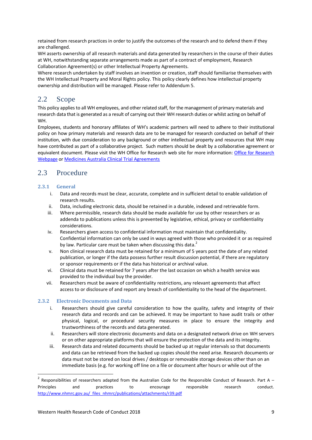retained from research practices in order to justify the outcomes of the research and to defend them if they are challenged.

WH asserts ownership of all research materials and data generated by researchers in the course of their duties at WH, notwithstanding separate arrangements made as part of a contract of employment, Research Collaboration Agreement(s) or other Intellectual Property Agreements.

Where research undertaken by staff involves an invention or creation, staff should familiarise themselves with the WH Intellectual Property and Moral Rights policy. This policy clearly defines how intellectual property ownership and distribution will be managed. Please refer to Addendum 5.

## <span id="page-8-0"></span>2.2 Scope

This policy applies to all WH employees, and other related staff, for the management of primary materials and research data that is generated as a result of carrying out their WH research duties or whilst acting on behalf of WH.

Employees, students and honorary affiliates of WH's academic partners will need to adhere to their institutional policy on how primary materials and research data are to be managed for research conducted on behalf of their institution, with due consideration to any background or other intellectual property and resources that WH may have contributed as part of a collaborative project. Such matters should be dealt by a collaborative agreement or equivalent document. Please visit the WH Office for Research web site for more information: [Office for Research](http://www.westernhealth.org.au/EducationandResearch/Research/Pages/default.aspx)  [Webpage](http://www.westernhealth.org.au/EducationandResearch/Research/Pages/default.aspx) o[r Medicines Australia Clinical Trial Agreements](https://medicinesaustralia.com.au/policy/clinical-trials/clinical-trials-research-agreements/)

## <span id="page-8-1"></span>2.3 Procedure

#### <span id="page-8-2"></span>**2.3.1 General**

1

- i. Data and records must be clear, accurate, complete and in sufficient detail to enable validation of research results.
- ii. Data, including electronic data, should be retained in a durable, indexed and retrievable form.
- iii. Where permissible, research data should be made available for use by other researchers or as addenda to publications unless this is prevented by legislative, ethical, privacy or confidentiality considerations.
- iv. Researchers given access to confidential information must maintain that confidentiality. Confidential information can only be used in ways agreed with those who provided it or as required by law. Particular care must be taken when discussing this data.<sup>2</sup>
- v. Non clinical research data must be retained for a minimum of 5 years post the date of any related publication, or longer if the data possess further result discussion potential, if there are regulatory or sponsor requirements or if the data has historical or archival value.
- vi. Clinical data must be retained for 7 years after the last occasion on which a health service was provided to the individual buy the provider.
- vii. Researchers must be aware of confidentiality restrictions, any relevant agreements that affect access to or disclosure of and report any breach of confidentiality to the head of the department.

#### <span id="page-8-3"></span>**2.3.2 Electronic Documents and Data**

- i. Researchers should give careful consideration to how the quality, safety and integrity of their research data and records and can be achieved. It may be important to have audit trails or other physical, logical, or procedural security measures in place to ensure the integrity and trustworthiness of the records and data generated.
- ii. Researchers will store electronic documents and data on a designated network drive on WH servers or on other appropriate platforms that will ensure the protection of the data and its integrity.
- iii. Research data and related documents should be backed up at regular intervals so that documents and data can be retrieved from the backed up copies should the need arise. Research documents or data must not be stored on local drives / desktops or removable storage devices other than on an immediate basis (e.g. for working off line on a file or document after hours or while out of the

<sup>2</sup> Responsibilities of researchers adapted from the Australian Code for the Responsible Conduct of Research. Part A -Principles and practices to encourage responsible research conduct. [http://www.nhmrc.gov.au/\\_files\\_nhmrc/publications/attachments/r39.pdf](http://www.nhmrc.gov.au/_files_nhmrc/publications/attachments/r39.pdf)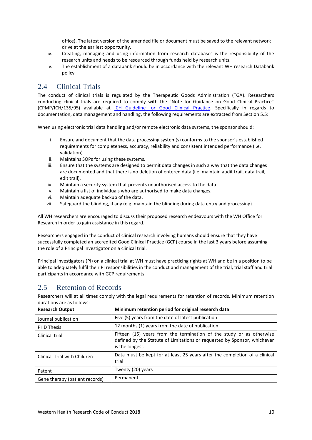office). The latest version of the amended file or document must be saved to the relevant network drive at the earliest opportunity.

- iv. Creating, managing and using information from research databases is the responsibility of the research units and needs to be resourced through funds held by research units.
- v. The establishment of a databank should be in accordance with the relevant WH research Databank policy

### <span id="page-9-0"></span>2.4 Clinical Trials

The conduct of clinical trials is regulated by the Therapeutic Goods Administration (TGA). Researchers conducting clinical trials are required to comply with the "Note for Guidance on Good Clinical Practice" (CPMP/ICH/135/95) available at [ICH Guideline for Good Clinical Practice.](http://www.tga.gov.au/industry/clinical-trials-note-ich13595.htm) Specifically in regards to documentation, data management and handling, the following requirements are extracted from Section 5.5:

When using electronic trial data handling and/or remote electronic data systems, the sponsor should:

- i. Ensure and document that the data processing system(s) conforms to the sponsor's established requirements for completeness, accuracy, reliability and consistent intended performance (i.e. validation).
- ii. Maintains SOPs for using these systems.
- iii. Ensure that the systems are designed to permit data changes in such a way that the data changes are documented and that there is no deletion of entered data (i.e. maintain audit trail, data trail, edit trail).
- iv. Maintain a security system that prevents unauthorised access to the data.
- v. Maintain a list of individuals who are authorised to make data changes.
- vi. Maintain adequate backup of the data.
- vii. Safeguard the blinding, if any (e.g. maintain the blinding during data entry and processing).

All WH researchers are encouraged to discuss their proposed research endeavours with the WH Office for Research in order to gain assistance in this regard.

Researchers engaged in the conduct of clinical research involving humans should ensure that they have successfully completed an accredited Good Clinical Practice (GCP) course in the last 3 years before assuming the role of a Principal Investigator on a clinical trial.

Principal investigators (PI) on a clinical trial at WH must have practicing rights at WH and be in a position to be able to adequately fulfil their PI responsibilities in the conduct and management of the trial, trial staff and trial participants in accordance with GCP requirements.

## <span id="page-9-1"></span>2.5 Retention of Records

Researchers will at all times comply with the legal requirements for retention of records. Minimum retention durations are as follows:

| <b>Research Output</b>         | Minimum retention period for original research data                                                                                                                 |
|--------------------------------|---------------------------------------------------------------------------------------------------------------------------------------------------------------------|
| Journal publication            | Five (5) years from the date of latest publication                                                                                                                  |
| <b>PHD Thesis</b>              | 12 months (1) years from the date of publication                                                                                                                    |
| Clinical trial                 | Fifteen (15) years from the termination of the study or as otherwise<br>defined by the Statute of Limitations or requested by Sponsor, whichever<br>is the longest. |
| Clinical Trial with Children   | Data must be kept for at least 25 years after the completion of a clinical<br>trial                                                                                 |
| Patent                         | Twenty (20) years                                                                                                                                                   |
| Gene therapy (patient records) | Permanent                                                                                                                                                           |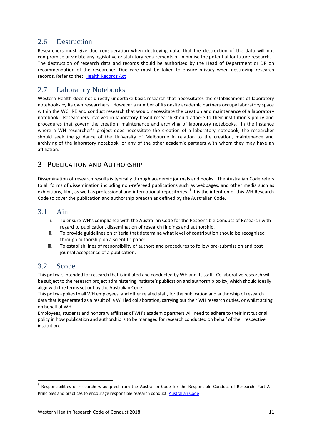### <span id="page-10-0"></span>2.6 Destruction

Researchers must give due consideration when destroying data, that the destruction of the data will not compromise or violate any legislative or statutory requirements or minimise the potential for future research. The destruction of research data and records should be authorised by the Head of Department or DR on recommendation of the researcher. Due care must be taken to ensure privacy when destroying research records. Refer to the: [Health Records Act](https://www2.health.vic.gov.au/about/legislation/health-records-act)

### <span id="page-10-1"></span>2.7 Laboratory Notebooks

Western Health does not directly undertake basic research that necessitates the establishment of laboratory notebooks by its own researchers. However a number of its onsite academic partners occupy laboratory space within the WCHRE and conduct research that would necessitate the creation and maintenance of a laboratory notebook. Researchers involved in laboratory based research should adhere to their institution's policy and procedures that govern the creation, maintenance and archiving of laboratory notebooks. In the instance where a WH researcher's project does necessitate the creation of a laboratory notebook, the researcher should seek the guidance of the University of Melbourne in relation to the creation, maintenance and archiving of the laboratory notebook, or any of the other academic partners with whom they may have an affiliation.

## <span id="page-10-2"></span>3 PUBLICATION AND AUTHORSHIP

Dissemination of research results is typically through academic journals and books. The Australian Code refers to all forms of dissemination including non-refereed publications such as webpages, and other media such as exhibitions, film, as well as professional and international repositories.<sup>3</sup> It is the intention of this WH Research Code to cover the publication and authorship breadth as defined by the Australian Code.

#### <span id="page-10-3"></span>3.1 Aim

- i. To ensure WH's compliance with the Australian Code for the Responsible Conduct of Research with regard to publication, dissemination of research findings and authorship.
- ii. To provide guidelines on criteria that determine what level of contribution should be recognised through authorship on a scientific paper.
- iii. To establish lines of responsibility of authors and procedures to follow pre-submission and post journal acceptance of a publication.

### <span id="page-10-4"></span>3.2 Scope

**.** 

This policy is intended for research that is initiated and conducted by WH and its staff. Collaborative research will be subject to the research project administering institute's publication and authorship policy, which should ideally align with the terms set out by the Australian Code.

This policy applies to all WH employees, and other related staff, for the publication and authorship of research data that is generated as a result of a WH led collaboration, carrying out their WH research duties, or whilst acting on behalf of WH.

Employees, students and honorary affiliates of WH's academic partners will need to adhere to their institutional policy in how publication and authorship is to be managed for research conducted on behalf of their respective institution.

<sup>3</sup> Responsibilities of researchers adapted from the Australian Code for the Responsible Conduct of Research. Part A -Principles and practices to encourage responsible research conduct. [Australian Code](http://www.nhmrc.gov.au/_files_nhmrc/publications/attachments/r39.pdf)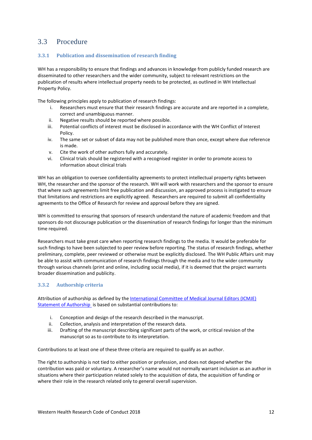### <span id="page-11-0"></span>3.3 Procedure

#### <span id="page-11-1"></span>**3.3.1 Publication and dissemination of research finding**

WH has a responsibility to ensure that findings and advances in knowledge from publicly funded research are disseminated to other researchers and the wider community, subject to relevant restrictions on the publication of results where intellectual property needs to be protected, as outlined in WH Intellectual Property Policy.

The following principles apply to publication of research findings:

- i. Researchers must ensure that their research findings are accurate and are reported in a complete, correct and unambiguous manner.
- ii. Negative results should be reported where possible.
- iii. Potential conflicts of interest must be disclosed in accordance with the WH Conflict of Interest Policy.
- iv. The same set or subset of data may not be published more than once, except where due reference is made.
- v. Cite the work of other authors fully and accurately.
- vi. Clinical trials should be registered with a recognised register in order to promote access to information about clinical trials

WH has an obligation to oversee confidentiality agreements to protect intellectual property rights between WH, the researcher and the sponsor of the research. WH will work with researchers and the sponsor to ensure that where such agreements limit free publication and discussion, an approved process is instigated to ensure that limitations and restrictions are explicitly agreed. Researchers are required to submit all confidentiality agreements to the Office of Research for review and approval before they are signed.

WH is committed to ensuring that sponsors of research understand the nature of academic freedom and that sponsors do not discourage publication or the dissemination of research findings for longer than the minimum time required.

Researchers must take great care when reporting research findings to the media. It would be preferable for such findings to have been subjected to peer review before reporting. The status of research findings, whether preliminary, complete, peer reviewed or otherwise must be explicitly disclosed. The WH Public Affairs unit may be able to assist with communication of research findings through the media and to the wider community through various channels (print and online, including social media), if it is deemed that the project warrants broader dissemination and publicity.

#### <span id="page-11-2"></span>**3.3.2 Authorship criteria**

Attribution of authorship as defined by th[e International Committee of Medical Journal Editors \(ICMJE\)](http://www.icmje.org/recommendations/browse/roles-and-responsibilities/defining-the-role-of-authors-and-contributors.html)  [Statement of Authorship](http://www.icmje.org/recommendations/browse/roles-and-responsibilities/defining-the-role-of-authors-and-contributors.html) is based on substantial contributions to:

- i. Conception and design of the research described in the manuscript.
- ii. Collection, analysis and interpretation of the research data.
- iii. Drafting of the manuscript describing significant parts of the work, or critical revision of the manuscript so as to contribute to its interpretation.

Contributions to at least one of these three criteria are required to qualify as an author.

The right to authorship is not tied to either position or profession, and does not depend whether the contribution was paid or voluntary. A researcher's name would not normally warrant inclusion as an author in situations where their participation related solely to the acquisition of data, the acquisition of funding or where their role in the research related only to general overall supervision.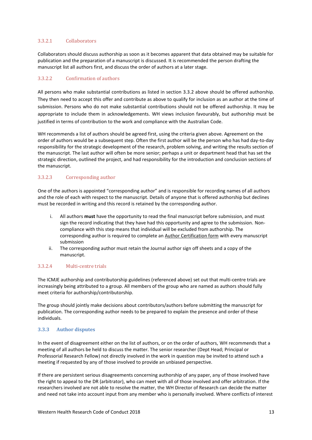#### 3.3.2.1 Collaborators

Collaborators should discuss authorship as soon as it becomes apparent that data obtained may be suitable for publication and the preparation of a manuscript is discussed. It is recommended the person drafting the manuscript list all authors first, and discuss the order of authors at a later stage.

#### 3.3.2.2 Confirmation of authors

All persons who make substantial contributions as listed in section 3.3.2 above should be offered authorship. They then need to accept this offer and contribute as above to qualify for inclusion as an author at the time of submission. Persons who do not make substantial contributions should not be offered authorship. It may be appropriate to include them in acknowledgements. WH views inclusion favourably, but authorship must be justified in terms of contribution to the work and compliance with the Australian Code.

WH recommends a list of authors should be agreed first, using the criteria given above. Agreement on the order of authors would be a subsequent step. Often the first author will be the person who has had day-to-day responsibility for the strategic development of the research, problem solving, and writing the results section of the manuscript. The last author will often be more senior; perhaps a unit or department head that has set the strategic direction, outlined the project, and had responsibility for the introduction and conclusion sections of the manuscript.

#### 3.3.2.3 Corresponding author

One of the authors is appointed "corresponding author" and is responsible for recording names of all authors and the role of each with respect to the manuscript. Details of anyone that is offered authorship but declines must be recorded in writing and this record is retained by the corresponding author.

- i. All authors **must** have the opportunity to read the final manuscript before submission, and must sign the record indicating that they have had this opportunity and agree to the submission. Noncompliance with this step means that individual will be excluded from authorship. The corresponding author is required to complete an Author Certification form with every manuscript submission
- ii. The corresponding author must retain the Journal author sign off sheets and a copy of the manuscript.

#### 3.3.2.4 Multi-centre trials

The ICMJE authorship and contributorship guidelines (referenced above) set out that multi-centre trials are increasingly being attributed to a group. All members of the group who are named as authors should fully meet criteria for authorship/contributorship.

The group should jointly make decisions about contributors/authors before submitting the manuscript for publication. The corresponding author needs to be prepared to explain the presence and order of these individuals.

#### <span id="page-12-0"></span>**3.3.3 Author disputes**

In the event of disagreement either on the list of authors, or on the order of authors, WH recommends that a meeting of all authors be held to discuss the matter. The senior researcher (Dept Head; Principal or Professorial Research Fellow) not directly involved in the work in question may be invited to attend such a meeting if requested by any of those involved to provide an unbiased perspective.

If there are persistent serious disagreements concerning authorship of any paper, any of those involved have the right to appeal to the DR (arbitrator), who can meet with all of those involved and offer arbitration. If the researchers involved are not able to resolve the matter, the WH Director of Research can decide the matter and need not take into account input from any member who is personally involved. Where conflicts of interest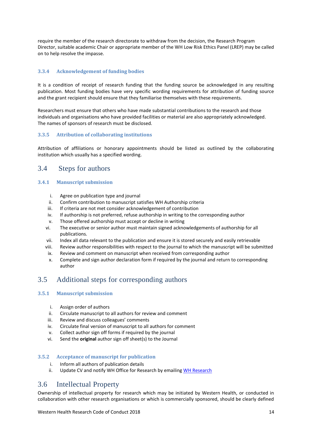require the member of the research directorate to withdraw from the decision, the Research Program Director, suitable academic Chair or appropriate member of the WH Low Risk Ethics Panel (LREP) may be called on to help resolve the impasse.

#### <span id="page-13-0"></span>**3.3.4 Acknowledgement of funding bodies**

It is a condition of receipt of research funding that the funding source be acknowledged in any resulting publication. Most funding bodies have very specific wording requirements for attribution of funding source and the grant recipient should ensure that they familiarise themselves with these requirements.

Researchers must ensure that others who have made substantial contributions to the research and those individuals and organisations who have provided facilities or material are also appropriately acknowledged. The names of sponsors of research must be disclosed.

#### <span id="page-13-1"></span>**3.3.5 Attribution of collaborating institutions**

Attribution of affiliations or honorary appointments should be listed as outlined by the collaborating institution which usually has a specified wording.

#### <span id="page-13-2"></span>3.4 Steps for authors

#### <span id="page-13-3"></span>**3.4.1 Manuscript submission**

- i. Agree on publication type and journal
- ii. Confirm contribution to manuscript satisfies WH Authorship criteria
- iii. If criteria are not met consider acknowledgement of contribution
- iv. If authorship is not preferred, refuse authorship in writing to the corresponding author
- v. Those offered authorship must accept or decline in writing
- vi. The executive or senior author must maintain signed acknowledgements of authorship for all publications.
- vii. Index all data relevant to the publication and ensure it is stored securely and easily retrievable
- viii. Review author responsibilities with respect to the journal to which the manuscript will be submitted
- ix. Review and comment on manuscript when received from corresponding author
- x. Complete and sign author declaration form if required by the journal and return to corresponding author

#### <span id="page-13-4"></span>3.5 Additional steps for corresponding authors

#### <span id="page-13-5"></span>**3.5.1 Manuscript submission**

- i. Assign order of authors
- ii. Circulate manuscript to all authors for review and comment
- iii. Review and discuss colleagues' comments
- iv. Circulate final version of manuscript to all authors for comment
- v. Collect author sign off forms if required by the journal
- vi. Send the **original** author sign off sheet(s) to the Journal

#### <span id="page-13-6"></span>**3.5.2 Acceptance of manuscript for publication**

- i. Inform all authors of publication details
- ii. Update CV and notify WH Office for Research by emailing [WH Research](mailto:Research@wh.org.au)

#### <span id="page-13-7"></span>3.6 Intellectual Property

Ownership of intellectual property for research which may be initiated by Western Health, or conducted in collaboration with other research organisations or which is commercially sponsored, should be clearly defined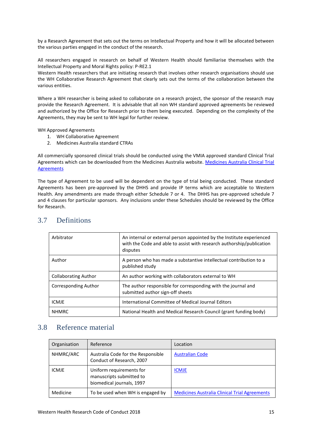by a Research Agreement that sets out the terms on Intellectual Property and how it will be allocated between the various parties engaged in the conduct of the research.

All researchers engaged in research on behalf of Western Health should familiarise themselves with the Intellectual Property and Moral Rights policy: P-RE2.1

Western Health researchers that are initiating research that involves other research organisations should use the WH Collaborative Research Agreement that clearly sets out the terms of the collaboration between the various entities.

Where a WH researcher is being asked to collaborate on a research project, the sponsor of the research may provide the Research Agreement. It is advisable that all non WH standard approved agreements be reviewed and authorized by the Office for Research prior to them being executed. Depending on the complexity of the Agreements, they may be sent to WH legal for further review.

WH Approved Agreements

- 1. WH Collaborative Agreement
- 2. Medicines Australia standard CTRAs

All commercially sponsored clinical trials should be conducted using the VMIA approved standard Clinical Trial Agreements which can be downloaded from the Medicines Australia website. [Medicines Australia Clinical Trial](https://medicinesaustralia.com.au/policy/clinical-trials/clinical-trials-research-agreements/)  [Agreements](https://medicinesaustralia.com.au/policy/clinical-trials/clinical-trials-research-agreements/)

The type of Agreement to be used will be dependent on the type of trial being conducted. These standard Agreements has been pre-approved by the DHHS and provide IP terms which are acceptable to Western Health. Any amendments are made through either Schedule 7 or 4. The DHHS has pre-approved schedule 7 and 4 clauses for particular sponsors. Any inclusions under these Schedules should be reviewed by the Office for Research.

| Arbitrator                  | An internal or external person appointed by the Institute experienced<br>with the Code and able to assist with research authorship/publication<br>disputes |
|-----------------------------|------------------------------------------------------------------------------------------------------------------------------------------------------------|
| Author                      | A person who has made a substantive intellectual contribution to a<br>published study                                                                      |
| <b>Collaborating Author</b> | An author working with collaborators external to WH                                                                                                        |
| <b>Corresponding Author</b> | The author responsible for corresponding with the journal and<br>submitted author sign-off sheets                                                          |
| <b>ICMJE</b>                | International Committee of Medical Journal Editors                                                                                                         |
| <b>NHMRC</b>                | National Health and Medical Research Council (grant funding body)                                                                                          |

#### <span id="page-14-0"></span>3.7 Definitions

#### <span id="page-14-1"></span>3.8 Reference material

| Organisation | Reference                                                                         | Location                                             |
|--------------|-----------------------------------------------------------------------------------|------------------------------------------------------|
| NHMRC/ARC    | Australia Code for the Responsible<br>Conduct of Research, 2007                   | <b>Australian Code</b>                               |
| <b>ICMJE</b> | Uniform requirements for<br>manuscripts submitted to<br>biomedical journals, 1997 | <b>ICMJE</b>                                         |
| Medicine     | To be used when WH is engaged by                                                  | <b>Medicines Australia Clinical Trial Agreements</b> |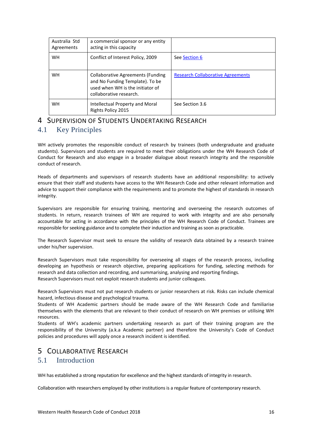| Australia Std<br>Agreements | a commercial sponsor or any entity<br>acting in this capacity                                                                       |                                          |
|-----------------------------|-------------------------------------------------------------------------------------------------------------------------------------|------------------------------------------|
| WH                          | Conflict of Interest Policy, 2009                                                                                                   | See Section 6                            |
| WH                          | Collaborative Agreements (Funding<br>and No Funding Template). To be<br>used when WH is the initiator of<br>collaborative research. | <b>Research Collaborative Agreements</b> |
| <b>WH</b>                   | Intellectual Property and Moral<br>Rights Policy 2015                                                                               | See Section 3.6                          |

## <span id="page-15-0"></span>4 SUPERVISION OF STUDENTS UNDERTAKING RESEARCH

## <span id="page-15-1"></span>4.1 Key Principles

WH actively promotes the responsible conduct of research by trainees (both undergraduate and graduate students). Supervisors and students are required to meet their obligations under the WH Research Code of Conduct for Research and also engage in a broader dialogue about research integrity and the responsible conduct of research.

Heads of departments and supervisors of research students have an additional responsibility: to actively ensure that their staff and students have access to the WH Research Code and other relevant information and advice to support their compliance with the requirements and to promote the highest of standards in research integrity.

Supervisors are responsible for ensuring training, mentoring and overseeing the research outcomes of students. In return, research trainees of WH are required to work with integrity and are also personally accountable for acting in accordance with the principles of the WH Research Code of Conduct. Trainees are responsible for seeking guidance and to complete their induction and training as soon as practicable.

The Research Supervisor must seek to ensure the validity of research data obtained by a research trainee under his/her supervision.

Research Supervisors must take responsibility for overseeing all stages of the research process, including developing an hypothesis or research objective, preparing applications for funding, selecting methods for research and data collection and recording, and summarising, analysing and reporting findings. Research Supervisors must not exploit research students and junior colleagues.

Research Supervisors must not put research students or junior researchers at risk. Risks can include chemical hazard, infectious disease and psychological trauma.

Students of WH Academic partners should be made aware of the WH Research Code and familiarise themselves with the elements that are relevant to their conduct of research on WH premises or utilising WH resources.

Students of WH's academic partners undertaking research as part of their training program are the responsibility of the University (a.k.a Academic partner) and therefore the University's Code of Conduct policies and procedures will apply once a research incident is identified.

## <span id="page-15-3"></span><span id="page-15-2"></span>5 COLLABORATIVE RESEARCH 5.1 Introduction

WH has established a strong reputation for excellence and the highest standards of integrity in research.

Collaboration with researchers employed by other institutions is a regular feature of contemporary research.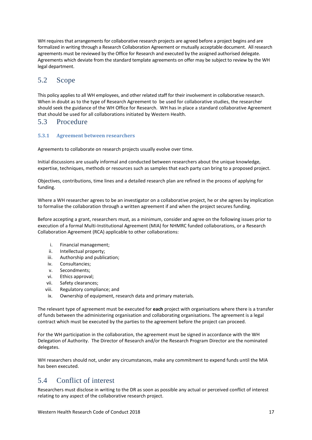WH requires that arrangements for collaborative research projects are agreed before a project begins and are formalized in writing through a Research Collaboration Agreement or mutually acceptable document. All research agreements must be reviewed by the Office for Research and executed by the assigned authorised delegate. Agreements which deviate from the standard template agreements on offer may be subject to review by the WH legal department.

## <span id="page-16-0"></span>5.2 Scope

This policy applies to all WH employees, and other related staff for their involvement in collaborative research. When in doubt as to the type of Research Agreement to be used for collaborative studies, the researcher should seek the guidance of the WH Office for Research. WH has in place a standard collaborative Agreement that should be used for all collaborations initiated by Western Health.

#### <span id="page-16-1"></span>5.3 Procedure

#### <span id="page-16-2"></span>**5.3.1 Agreement between researchers**

Agreements to collaborate on research projects usually evolve over time.

Initial discussions are usually informal and conducted between researchers about the unique knowledge, expertise, techniques, methods or resources such as samples that each party can bring to a proposed project.

Objectives, contributions, time lines and a detailed research plan are refined in the process of applying for funding.

Where a WH researcher agrees to be an investigator on a collaborative project, he or she agrees by implication to formalise the collaboration through a written agreement if and when the project secures funding.

Before accepting a grant, researchers must, as a minimum, consider and agree on the following issues prior to execution of a formal Multi-Institutional Agreement (MIA) for NHMRC funded collaborations, or a Research Collaboration Agreement (RCA) applicable to other collaborations:

- i. Financial management;
- ii. Intellectual property;
- iii. Authorship and publication;
- iv. Consultancies;
- v. Secondments;
- vi. Ethics approval;
- vii. Safety clearances;
- viii. Regulatory compliance; and
- ix. Ownership of equipment, research data and primary materials.

The relevant type of agreement must be executed for **each** project with organisations where there is a transfer of funds between the administering organisation and collaborating organisations. The agreement is a legal contract which must be executed by the parties to the agreement before the project can proceed.

For the WH participation in the collaboration, the agreement must be signed in accordance with the WH Delegation of Authority. The Director of Research and/or the Research Program Director are the nominated delegates.

WH researchers should not, under any circumstances, make any commitment to expend funds until the MIA has been executed.

## <span id="page-16-3"></span>5.4 Conflict of interest

Researchers must disclose in writing to the DR as soon as possible any actual or perceived conflict of interest relating to any aspect of the collaborative research project.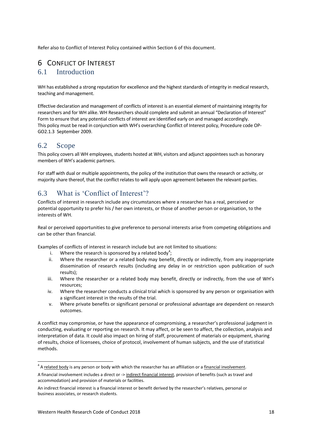Refer also to Conflict of Interest Policy contained within Section 6 of this document.

### <span id="page-17-1"></span><span id="page-17-0"></span>6 CONFLICT OF INTEREST 6.1 Introduction

WH has established a strong reputation for excellence and the highest standards of integrity in medical research, teaching and management.

Effective declaration and management of conflicts of interest is an essential element of maintaining integrity for researchers and for WH alike. WH Researchers should complete and submit an annual "Declaration of Interest" Form to ensure that any potential conflicts of interest are identified early on and managed accordingly. This policy must be read in conjunction with WH's overarching Conflict of Interest policy, Procedure code OP-GO2.1.3 September 2009.

## <span id="page-17-2"></span>6.2 Scope

This policy covers all WH employees, students hosted at WH, visitors and adjunct appointees such as honorary members of WH's academic partners.

For staff with dual or multiple appointments, the policy of the institution that owns the research or activity, or majority share thereof, that the conflict relates to will apply upon agreement between the relevant parties.

## <span id="page-17-3"></span>6.3 What is 'Conflict of Interest'?

Conflicts of interest in research include any circumstances where a researcher has a real, perceived or potential opportunity to prefer his / her own interests, or those of another person or organisation, to the interests of WH.

Real or perceived opportunities to give preference to personal interests arise from competing obligations and can be other than financial.

Examples of conflicts of interest in research include but are not limited to situations:

- i. Where the research is sponsored by a related body<sup>4</sup>;
- ii. Where the researcher or a related body may benefit, directly or indirectly, from any inappropriate dissemination of research results (including any delay in or restriction upon publication of such results);
- iii. Where the researcher or a related body may benefit, directly or indirectly, from the use of WH's resources;
- iv. Where the researcher conducts a clinical trial which is sponsored by any person or organisation with a significant interest in the results of the trial.
- v. Where private benefits or significant personal or professional advantage are dependent on research outcomes.

A conflict may compromise, or have the appearance of compromising, a researcher's professional judgment in conducting, evaluating or reporting on research. It may affect, or be seen to affect, the collection, analysis and interpretation of data. It could also impact on hiring of staff, procurement of materials or equipment, sharing of results, choice of licensees, choice of protocol, involvement of human subjects, and the use of statistical methods.

**.** 

<sup>&</sup>lt;sup>4</sup> A related body is any person or body with which the researcher has an affiliation or a financial involvement.

A financial involvement includes a direct or -> indirect financial interest, provision of benefits (such as travel and accommodation) and provision of materials or facilities.

An indirect financial interest is a financial interest or benefit derived by the researcher's relatives, personal or business associates, or research students.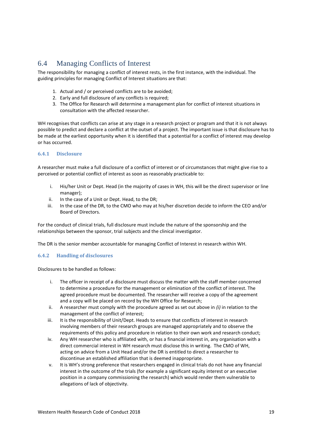## <span id="page-18-0"></span>6.4 Managing Conflicts of Interest

The responsibility for managing a conflict of interest rests, in the first instance, with the individual. The guiding principles for managing Conflict of Interest situations are that:

- 1. Actual and / or perceived conflicts are to be avoided;
- 2. Early and full disclosure of any conflicts is required;
- 3. The Office for Research will determine a management plan for conflict of interest situations in consultation with the affected researcher.

WH recognises that conflicts can arise at any stage in a research project or program and that it is not always possible to predict and declare a conflict at the outset of a project. The important issue is that disclosure has to be made at the earliest opportunity when it is identified that a potential for a conflict of interest may develop or has occurred.

#### <span id="page-18-1"></span>**6.4.1 Disclosure**

A researcher must make a full disclosure of a conflict of interest or of circumstances that might give rise to a perceived or potential conflict of interest as soon as reasonably practicable to:

- i. His/her Unit or Dept. Head (in the majority of cases in WH, this will be the direct supervisor or line manager);
- ii. In the case of a Unit or Dept. Head, to the DR;
- iii. In the case of the DR, to the CMO who may at his/her discretion decide to inform the CEO and/or Board of Directors.

For the conduct of clinical trials, full disclosure must include the nature of the sponsorship and the relationships between the sponsor, trial subjects and the clinical investigator.

The DR is the senior member accountable for managing Conflict of Interest in research within WH.

#### <span id="page-18-2"></span>**6.4.2 Handling of disclosures**

Disclosures to be handled as follows:

- i. The officer in receipt of a disclosure must discuss the matter with the staff member concerned to determine a procedure for the management or elimination of the conflict of interest. The agreed procedure must be documented. The researcher will receive a copy of the agreement and a copy will be placed on record by the WH Office for Research;
- ii. A researcher must comply with the procedure agreed as set out above in *(i)* in relation to the management of the conflict of interest;
- iii. It is the responsibility of Unit/Dept. Heads to ensure that conflicts of interest in research involving members of their research groups are managed appropriately and to observe the requirements of this policy and procedure in relation to their own work and research conduct;
- iv. Any WH researcher who is affiliated with, or has a financial interest in, any organisation with a direct commercial interest in WH research must disclose this in writing. The CMO of WH, acting on advice from a Unit Head and/or the DR is entitled to direct a researcher to discontinue an established affiliation that is deemed inappropriate.
- v. It is WH's strong preference that researchers engaged in clinical trials do not have any financial interest in the outcome of the trials (for example a significant equity interest or an executive position in a company commissioning the research) which would render them vulnerable to allegations of lack of objectivity.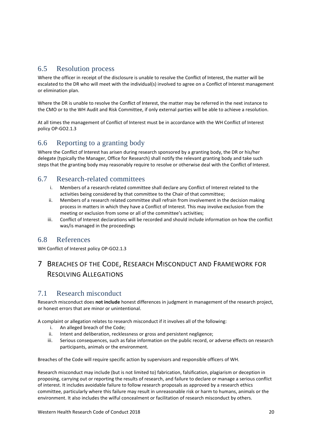### <span id="page-19-0"></span>6.5 Resolution process

Where the officer in receipt of the disclosure is unable to resolve the Conflict of Interest, the matter will be escalated to the DR who will meet with the individual(s) involved to agree on a Conflict of Interest management or elimination plan.

Where the DR is unable to resolve the Conflict of Interest, the matter may be referred in the next instance to the CMO or to the WH Audit and Risk Committee, if only external parties will be able to achieve a resolution.

At all times the management of Conflict of Interest must be in accordance with the WH Conflict of Interest policy OP-GO2.1.3

### <span id="page-19-1"></span>6.6 Reporting to a granting body

Where the Conflict of Interest has arisen during research sponsored by a granting body, the DR or his/her delegate (typically the Manager, Office for Research) shall notify the relevant granting body and take such steps that the granting body may reasonably require to resolve or otherwise deal with the Conflict of Interest.

### <span id="page-19-2"></span>6.7 Research-related committees

- i. Members of a research-related committee shall declare any Conflict of Interest related to the activities being considered by that committee to the Chair of that committee;
- ii. Members of a research related committee shall refrain from involvement in the decision making process in matters in which they have a Conflict of Interest. This may involve exclusion from the meeting or exclusion from some or all of the committee's activities;
- iii. Conflict of Interest declarations will be recorded and should include information on how the conflict was/is managed in the proceedings

### <span id="page-19-3"></span>6.8 References

WH Conflict of Interest policy OP-GO2.1.3

## <span id="page-19-4"></span>7 BREACHES OF THE CODE, RESEARCH MISCONDUCT AND FRAMEWORK FOR RESOLVING ALLEGATIONS

### <span id="page-19-5"></span>7.1 Research misconduct

Research misconduct does **not include** honest differences in judgment in management of the research project, or honest errors that are minor or unintentional.

A complaint or allegation relates to research misconduct if it involves all of the following:

- i. An alleged breach of the Code;
- ii. Intent and deliberation, recklessness or gross and persistent negligence;
- iii. Serious consequences, such as false information on the public record, or adverse effects on research participants, animals or the environment.

Breaches of the Code will require specific action by supervisors and responsible officers of WH.

Research misconduct may include (but is not limited to) fabrication, falsification, plagiarism or deception in proposing, carrying out or reporting the results of research, and failure to declare or manage a serious conflict of interest. It includes avoidable failure to follow research proposals as approved by a research ethics committee, particularly where this failure may result in unreasonable risk or harm to humans, animals or the environment. It also includes the wilful concealment or facilitation of research misconduct by others.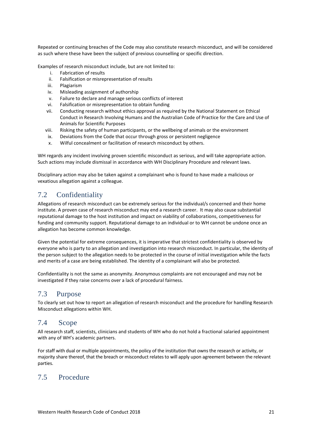Repeated or continuing breaches of the Code may also constitute research misconduct, and will be considered as such where these have been the subject of previous counselling or specific direction.

Examples of research misconduct include, but are not limited to:

- i. Fabrication of results
- ii. Falsification or misrepresentation of results
- iii. Plagiarism
- iv. Misleading assignment of authorship
- v. Failure to declare and manage serious conflicts of interest
- vi. Falsification or misrepresentation to obtain funding
- vii. Conducting research without ethics approval as required by the National Statement on Ethical Conduct in Research Involving Humans and the Australian Code of Practice for the Care and Use of Animals for Scientific Purposes
- viii. Risking the safety of human participants, or the wellbeing of animals or the environment
- ix. Deviations from the Code that occur through gross or persistent negligence
- x. Wilful concealment or facilitation of research misconduct by others.

WH regards any incident involving proven scientific misconduct as serious, and will take appropriate action. Such actions may include dismissal in accordance with WH Disciplinary Procedure and relevant laws.

Disciplinary action may also be taken against a complainant who is found to have made a malicious or vexatious allegation against a colleague.

## <span id="page-20-0"></span>7.2 Confidentiality

Allegations of research misconduct can be extremely serious for the individual/s concerned and their home institute. A proven case of research misconduct may end a research career. It may also cause substantial reputational damage to the host institution and impact on viability of collaborations, competitiveness for funding and community support. Reputational damage to an individual or to WH cannot be undone once an allegation has become common knowledge.

Given the potential for extreme consequences, it is imperative that strictest confidentiality is observed by everyone who is party to an allegation and investigation into research misconduct. In particular, the identity of the person subject to the allegation needs to be protected in the course of initial investigation while the facts and merits of a case are being established. The identity of a complainant will also be protected.

Confidentiality is not the same as anonymity. Anonymous complaints are not encouraged and may not be investigated if they raise concerns over a lack of procedural fairness.

#### <span id="page-20-1"></span>7.3 Purpose

To clearly set out how to report an allegation of research misconduct and the procedure for handling Research Misconduct allegations within WH.

## <span id="page-20-2"></span>7.4 Scope

All research staff, scientists, clinicians and students of WH who do not hold a fractional salaried appointment with any of WH's academic partners.

For staff with dual or multiple appointments, the policy of the institution that owns the research or activity, or majority share thereof, that the breach or misconduct relates to will apply upon agreement between the relevant parties.

## <span id="page-20-3"></span>7.5 Procedure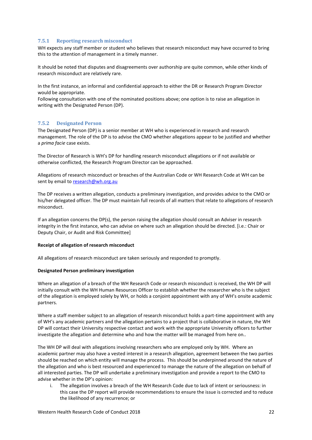#### <span id="page-21-0"></span>**7.5.1 Reporting research misconduct**

WH expects any staff member or student who believes that research misconduct may have occurred to bring this to the attention of management in a timely manner.

It should be noted that disputes and disagreements over authorship are quite common, while other kinds of research misconduct are relatively rare.

In the first instance, an informal and confidential approach to either the DR or Research Program Director would be appropriate.

Following consultation with one of the nominated positions above; one option is to raise an allegation in writing with the Designated Person (DP).

#### <span id="page-21-1"></span>**7.5.2 Designated Person**

The Designated Person (DP) is a senior member at WH who is experienced in research and research management. The role of the DP is to advise the CMO whether allegations appear to be justified and whether a *prima facie* case exists.

The Director of Research is WH's DP for handling research misconduct allegations or if not available or otherwise conflicted, the Research Program Director can be approached.

Allegations of research misconduct or breaches of the Australian Code or WH Research Code at WH can be sent by email to [research@wh.org.au](mailto:research@wh.org.au)

The DP receives a written allegation, conducts a preliminary investigation, and provides advice to the CMO or his/her delegated officer. The DP must maintain full records of all matters that relate to allegations of research misconduct.

If an allegation concerns the DP(s), the person raising the allegation should consult an Adviser in research integrity in the first instance, who can advise on where such an allegation should be directed. [i.e.: Chair or Deputy Chair, or Audit and Risk Committee]

#### **Receipt of allegation of research misconduct**

All allegations of research misconduct are taken seriously and responded to promptly.

#### **Designated Person preliminary investigation**

Where an allegation of a breach of the WH Research Code or research misconduct is received, the WH DP will initially consult with the WH Human Resources Officer to establish whether the researcher who is the subject of the allegation is employed solely by WH, or holds a conjoint appointment with any of WH's onsite academic partners.

Where a staff member subject to an allegation of research misconduct holds a part-time appointment with any of WH's any academic partners and the allegation pertains to a project that is collaborative in nature, the WH DP will contact their University respective contact and work with the appropriate University officers to further investigate the allegation and determine who and how the matter will be managed from here on..

The WH DP will deal with allegations involving researchers who are employed only by WH. Where an academic partner may also have a vested interest in a research allegation, agreement between the two parties should be reached on which entity will manage the process. This should be underpinned around the nature of the allegation and who is best resourced and experienced to manage the nature of the allegation on behalf of all interested parties. The DP will undertake a preliminary investigation and provide a report to the CMO to advise whether in the DP's opinion:

i. The allegation involves a breach of the WH Research Code due to lack of intent or seriousness: in this case the DP report will provide recommendations to ensure the issue is corrected and to reduce the likelihood of any recurrence; or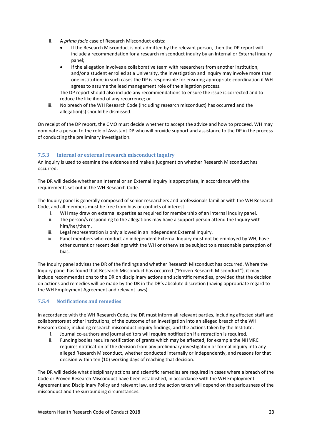- ii. A *prima facie* case of Research Misconduct exists:
	- If the Research Misconduct is not admitted by the relevant person, then the DP report will include a recommendation for a research misconduct inquiry by an Internal or External inquiry panel;
	- If the allegation involves a collaborative team with researchers from another institution, and/or a student enrolled at a University, the investigation and inquiry may involve more than one institution; in such cases the DP is responsible for ensuring appropriate coordination if WH agrees to assume the lead management role of the allegation process.

The DP report should also include any recommendations to ensure the issue is corrected and to reduce the likelihood of any recurrence; or

iii. No breach of the WH Research Code (including research misconduct) has occurred and the allegation(s) should be dismissed.

On receipt of the DP report, the CMO must decide whether to accept the advice and how to proceed. WH may nominate a person to the role of Assistant DP who will provide support and assistance to the DP in the process of conducting the preliminary investigation.

#### <span id="page-22-0"></span>**7.5.3 Internal or external research misconduct inquiry**

An Inquiry is used to examine the evidence and make a judgment on whether Research Misconduct has occurred.

The DR will decide whether an Internal or an External Inquiry is appropriate, in accordance with the requirements set out in the WH Research Code.

The Inquiry panel is generally composed of senior researchers and professionals familiar with the WH Research Code, and all members must be free from bias or conflicts of interest.

- i. WH may draw on external expertise as required for membership of an internal inquiry panel.
- ii. The person/s responding to the allegations may have a support person attend the Inquiry with him/her/them.
- iii. Legal representation is only allowed in an independent External Inquiry.
- iv. Panel members who conduct an independent External Inquiry must not be employed by WH, have other current or recent dealings with the WH or otherwise be subject to a reasonable perception of bias.

The Inquiry panel advises the DR of the findings and whether Research Misconduct has occurred. Where the Inquiry panel has found that Research Misconduct has occurred ("Proven Research Misconduct"), it may include recommendations to the DR on disciplinary actions and scientific remedies, provided that the decision on actions and remedies will be made by the DR in the DR's absolute discretion (having appropriate regard to the WH Employment Agreement and relevant laws).

#### <span id="page-22-1"></span>**7.5.4 Notifications and remedies**

In accordance with the WH Research Code, the DR must inform all relevant parties, including affected staff and collaborators at other institutions, of the outcome of an investigation into an alleged breach of the WH Research Code, including research misconduct inquiry findings, and the actions taken by the Institute.

- i. Journal co-authors and journal editors will require notification if a retraction is required.
- ii. Funding bodies require notification of grants which may be affected, for example the NHMRC requires notification of the decision from any preliminary investigation or formal inquiry into any alleged Research Misconduct, whether conducted internally or independently, and reasons for that decision within ten (10) working days of reaching that decision.

The DR will decide what disciplinary actions and scientific remedies are required in cases where a breach of the Code or Proven Research Misconduct have been established, in accordance with the WH Employment Agreement and Disciplinary Policy and relevant law, and the action taken will depend on the seriousness of the misconduct and the surrounding circumstances.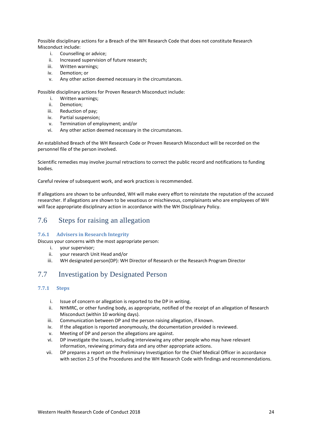Possible disciplinary actions for a Breach of the WH Research Code that does not constitute Research Misconduct include:

- i. Counselling or advice;
- ii. Increased supervision of future research;
- iii. Written warnings;
- iv. Demotion; or
- v. Any other action deemed necessary in the circumstances.

Possible disciplinary actions for Proven Research Misconduct include:

- i. Written warnings;
- ii. Demotion;
- iii. Reduction of pay;
- iv. Partial suspension;
- v. Termination of employment; and/or
- vi. Any other action deemed necessary in the circumstances.

An established Breach of the WH Research Code or Proven Research Misconduct will be recorded on the personnel file of the person involved.

Scientific remedies may involve journal retractions to correct the public record and notifications to funding bodies.

Careful review of subsequent work, and work practices is recommended.

If allegations are shown to be unfounded, WH will make every effort to reinstate the reputation of the accused researcher. If allegations are shown to be vexatious or mischievous, complainants who are employees of WH will face appropriate disciplinary action in accordance with the WH Disciplinary Policy.

#### <span id="page-23-0"></span>7.6 Steps for raising an allegation

#### <span id="page-23-1"></span>**7.6.1 Advisers in Research Integrity**

Discuss your concerns with the most appropriate person:

- i. your supervisor;
- ii. your research Unit Head and/or
- <span id="page-23-2"></span>iii. WH designated person(DP): WH Director of Research or the Research Program Director

## 7.7 Investigation by Designated Person

#### <span id="page-23-3"></span>**7.7.1 Steps**

- i. Issue of concern or allegation is reported to the DP in writing.
- ii. NHMRC, or other funding body, as appropriate, notified of the receipt of an allegation of Research Misconduct (within 10 working days).
- iii. Communication between DP and the person raising allegation, if known.
- iv. If the allegation is reported anonymously, the documentation provided is reviewed.
- v. Meeting of DP and person the allegations are against.
- vi. DP investigate the issues, including interviewing any other people who may have relevant information, reviewing primary data and any other appropriate actions.
- vii. DP prepares a report on the Preliminary Investigation for the Chief Medical Officer in accordance with section 2.5 of the Procedures and the WH Research Code with findings and recommendations.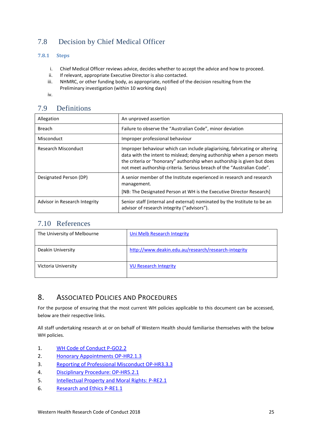## <span id="page-24-0"></span>7.8 Decision by Chief Medical Officer

#### <span id="page-24-1"></span>**7.8.1 Steps**

- i. Chief Medical Officer reviews advice, decides whether to accept the advice and how to proceed.
- ii. If relevant, appropriate Executive Director is also contacted.
- iii. NHMRC, or other funding body, as appropriate, notified of the decision resulting from the Preliminary investigation (within 10 working days)
- iv.

## <span id="page-24-2"></span>7.9 Definitions

| Allegation                    | An unproved assertion                                                                                                                                                                                                                                                                                      |
|-------------------------------|------------------------------------------------------------------------------------------------------------------------------------------------------------------------------------------------------------------------------------------------------------------------------------------------------------|
| <b>Breach</b>                 | Failure to observe the "Australian Code", minor deviation                                                                                                                                                                                                                                                  |
| Misconduct                    | Improper professional behaviour                                                                                                                                                                                                                                                                            |
| Research Misconduct           | Improper behaviour which can include plagiarising, fabricating or altering<br>data with the intent to mislead; denying authorship when a person meets<br>the criteria or "honorary" authorship when authorship is given but does<br>not meet authorship criteria. Serious breach of the "Australian Code". |
| Designated Person (DP)        | A senior member of the Institute experienced in research and research<br>management.<br>[NB: The Designated Person at WH is the Executive Director Research]                                                                                                                                               |
| Advisor in Research Integrity | Senior staff (internal and external) nominated by the Institute to be an<br>advisor of research integrity ("advisors").                                                                                                                                                                                    |

### <span id="page-24-3"></span>7.10 References

| The University of Melbourne | Uni Melb Research Integrity                          |
|-----------------------------|------------------------------------------------------|
| Deakin University           | http://www.deakin.edu.au/research/research-integrity |
| Victoria University         | <b>VU Research Integrity</b>                         |

## <span id="page-24-4"></span>8. ASSOCIATED POLICIES AND PROCEDURES

For the purpose of ensuring that the most current WH policies applicable to this document can be accessed, below are their respective links.

All staff undertaking research at or on behalf of Western Health should familiarise themselves with the below WH policies.

- 1. [WH Code of Conduct P-GO2.2](http://inside.wh.org.au/policies-procedures-forms/_layouts/WordViewer.aspx?id=/policies-procedures-forms/WHDocuments/Code%20of%20Conduct.doc&DefaultItemOpen=1)
- 2. [Honorary Appointments OP-HR2.1.3](http://inside.wh.org.au/policies-procedures-forms/_layouts/WordViewer.aspx?id=/policies-procedures-forms/WHDocuments/Honorary%20Appointments.doc&DefaultItemOpen=1)
- 3. [Reporting of Professional Misconduct OP-HR3.3.3](http://inside.wh.org.au/policies-procedures-forms/_layouts/WordViewer.aspx?id=/policies-procedures-forms/WHDocuments/Reporting%20of%20Professional%20Misconduct.docx&DefaultItemOpen=1)
- 4. [Disciplinary Procedure: OP-HR5.2.1](http://inside.wh.org.au/policies-procedures-forms/_layouts/WordViewer.aspx?id=/policies-procedures-forms/WHDocuments/Disciplinary%20Procedure.docx&DefaultItemOpen=1)
- 5. [Intellectual Property and Moral Rights: P-RE2.1](http://inside.wh.org.au/policies-procedures-forms/_layouts/WordViewer.aspx?id=/policies-procedures-forms/WHDocuments/Intellectual%20Property%20and%20Moral%20Rights.doc&DefaultItemOpen=1)
- 6. [Research and Ethics P-RE1.1](http://inside.wh.org.au/policies-procedures-forms/_layouts/WordViewer.aspx?id=/policies-procedures-forms/WHDocuments/Research%20and%20Ethics.doc&DefaultItemOpen=1)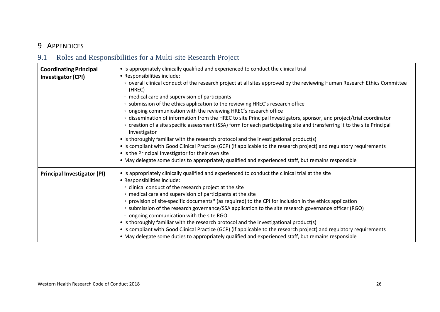## 9 APPENDICES

## 9.1 Roles and Responsibilities for a Multi-site Research Project

<span id="page-25-1"></span><span id="page-25-0"></span>

| <b>Coordinating Principal</b><br><b>Investigator (CPI)</b> | • Is appropriately clinically qualified and experienced to conduct the clinical trial<br>• Responsibilities include:<br>overall clinical conduct of the research project at all sites approved by the reviewing Human Research Ethics Committee<br>(HREC)<br>• medical care and supervision of participants<br>• submission of the ethics application to the reviewing HREC's research office<br>• ongoing communication with the reviewing HREC's research office<br>o dissemination of information from the HREC to site Principal Investigators, sponsor, and project/trial coordinator<br>∘ creation of a site specific assessment (SSA) form for each participating site and transferring it to the site Principal<br>Investigator<br>• Is thoroughly familiar with the research protocol and the investigational product(s)<br>• Is compliant with Good Clinical Practice (GCP) (if applicable to the research project) and regulatory requirements<br>• Is the Principal Investigator for their own site<br>• May delegate some duties to appropriately qualified and experienced staff, but remains responsible |
|------------------------------------------------------------|-------------------------------------------------------------------------------------------------------------------------------------------------------------------------------------------------------------------------------------------------------------------------------------------------------------------------------------------------------------------------------------------------------------------------------------------------------------------------------------------------------------------------------------------------------------------------------------------------------------------------------------------------------------------------------------------------------------------------------------------------------------------------------------------------------------------------------------------------------------------------------------------------------------------------------------------------------------------------------------------------------------------------------------------------------------------------------------------------------------------------|
| <b>Principal Investigator (PI)</b>                         | • Is appropriately clinically qualified and experienced to conduct the clinical trial at the site<br>• Responsibilities include:<br>• clinical conduct of the research project at the site<br>• medical care and supervision of participants at the site<br>∘ provision of site-specific documents* (as required) to the CPI for inclusion in the ethics application<br>∘ submission of the research governance/SSA application to the site research governance officer (RGO)<br>• ongoing communication with the site RGO<br>• Is thoroughly familiar with the research protocol and the investigational product(s)<br>• Is compliant with Good Clinical Practice (GCP) (if applicable to the research project) and regulatory requirements<br>• May delegate some duties to appropriately qualified and experienced staff, but remains responsible                                                                                                                                                                                                                                                                    |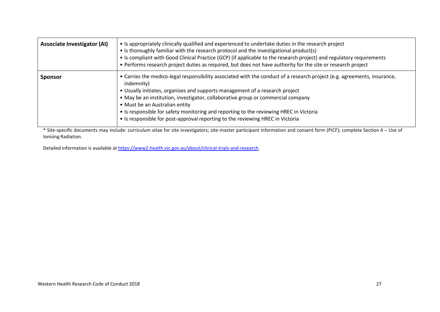| <b>Associate Investigator (AI)</b> | • Is appropriately clinically qualified and experienced to undertake duties in the research project<br>• Is thoroughly familiar with the research protocol and the investigational product(s)<br>• Is compliant with Good Clinical Practice (GCP) (if applicable to the research project) and regulatory requirements<br>• Performs research project duties as required, but does not have authority for the site or research project                                                                                    |
|------------------------------------|--------------------------------------------------------------------------------------------------------------------------------------------------------------------------------------------------------------------------------------------------------------------------------------------------------------------------------------------------------------------------------------------------------------------------------------------------------------------------------------------------------------------------|
| <b>Sponsor</b>                     | • Carries the medico-legal responsibility associated with the conduct of a research project (e.g. agreements, insurance,<br>indemnity)<br>• Usually initiates, organises and supports management of a research project<br>• May be an institution, investigator, collaborative group or commercial company<br>• Must be an Australian entity<br>• Is responsible for safety monitoring and reporting to the reviewing HREC in Victoria<br>• Is responsible for post-approval reporting to the reviewing HREC in Victoria |

\* Site-specific documents may include: curriculum vitae for site investigators; site-master participant information and consent form (PICF); complete Section 4 – Use of Ionising Radiation.

Detailed information is available at [https://www2.health.vic.gov.au/about/clinical-trials-and-research.](https://www2.health.vic.gov.au/about/clinical-trials-and-research)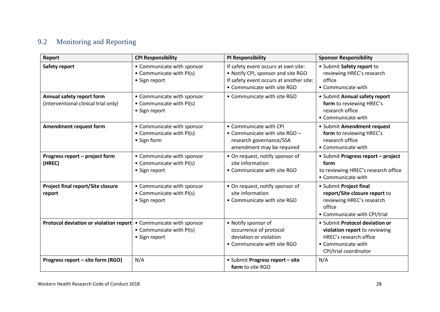## 9.2 Monitoring and Reporting

<span id="page-27-0"></span>

| Report                                                            | <b>CPI Responsibility</b>                                               | <b>PI Responsibility</b>                                                                                                                            | <b>Sponsor Responsibility</b>                                                                                                            |
|-------------------------------------------------------------------|-------------------------------------------------------------------------|-----------------------------------------------------------------------------------------------------------------------------------------------------|------------------------------------------------------------------------------------------------------------------------------------------|
| Safety report                                                     | • Communicate with sponsor<br>• Communicate with PI(s)<br>• Sign report | If safety event occurs at own site:<br>• Notify CPI, sponsor and site RGO<br>If safety event occurs at another site:<br>• Communicate with site RGO | • Submit Safety report to<br>reviewing HREC's research<br>office<br>• Communicate with                                                   |
| Annual safety report form<br>(interventional clinical trial only) | • Communicate with sponsor<br>• Communicate with PI(s)<br>• Sign report | • Communicate with site RGO                                                                                                                         | • Submit Annual safety report<br>form to reviewing HREC's<br>research office<br>• Communicate with                                       |
| Amendment request form                                            | • Communicate with sponsor<br>• Communicate with PI(s)<br>• Sign form   | • Communicate with CPI<br>• Communicate with site RGO -<br>research governance/SSA<br>amendment may be required                                     | • Submit Amendment request<br>form to reviewing HREC's<br>research office<br>• Communicate with                                          |
| Progress report - project form<br>(HREC)                          | • Communicate with sponsor<br>• Communicate with PI(s)<br>• Sign report | • On request, notify sponsor of<br>site information<br>• Communicate with site RGO                                                                  | • Submit Progress report - project<br>form<br>to reviewing HREC's research office<br>• Communicate with                                  |
| <b>Project final report/Site closure</b><br>report                | • Communicate with sponsor<br>• Communicate with PI(s)<br>• Sign report | • On request, notify sponsor of<br>site information<br>• Communicate with site RGO                                                                  | • Submit Project final<br>report/Site closure report to<br>reviewing HREC's research<br>office<br>• Communicate with CPI/trial           |
| Protocol deviation or violation report                            | • Communicate with sponsor<br>• Communicate with PI(s)<br>• Sign report | • Notify sponsor of<br>occurrence of protocol<br>deviation or violation<br>• Communicate with site RGO                                              | • Submit Protocol deviation or<br>violation report to reviewing<br>HREC's research office<br>• Communicate with<br>CPI/trial coordinator |
| Progress report - site form (RGO)                                 | N/A                                                                     | • Submit Progress report - site<br>form to site RGO                                                                                                 | N/A                                                                                                                                      |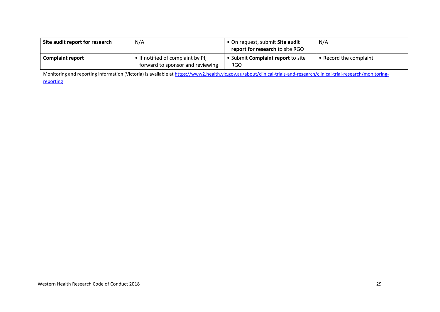| Site audit report for research | N/A                                                                     | • On request, submit Site audit<br>report for research to site RGO | N/A                    |
|--------------------------------|-------------------------------------------------------------------------|--------------------------------------------------------------------|------------------------|
| <b>Complaint report</b>        | I • If notified of complaint by PI,<br>forward to sponsor and reviewing | • Submit Complaint report to site<br><b>RGO</b>                    | • Record the complaint |

Monitoring and reporting information (Victoria) is available a[t https://www2.health.vic.gov.au/about/clinical-trials-and-research/clinical-trial-research/monitoring-](https://www2.health.vic.gov.au/about/clinical-trials-and-research/clinical-trial-research/monitoring-reporting)

[reporting](https://www2.health.vic.gov.au/about/clinical-trials-and-research/clinical-trial-research/monitoring-reporting)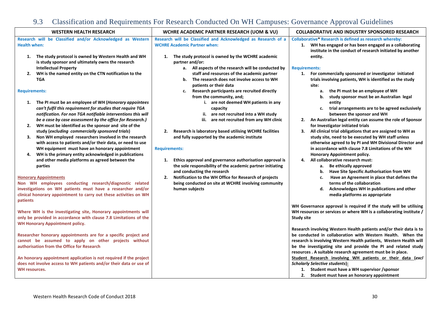## 9.3 Classification and Requirements For Research Conducted On WH Campuses: Governance Approval Guidelines

<span id="page-29-0"></span>

| <b>WESTERN HEALTH RESEARCH</b>                                                                                                                                                                                                                                                                                                                                                                                                                                                                                                                                                                                                                                                                                                                                                                                                                                                                                                                                                                                                                                                                                                                                                                                                                                                                                                                                                                                                                                                                                                                                                                                                                                                          | WCHRE ACADEMIC PARTNER RESEARCH (UOM & VU)                                                                                                                                                                                                                                                                                                                                                                                                                                                                                                                                                                                                                                                                                                                                                                                                                                                                                              | <b>COLLABORATIVE AND INDUSTRY SPONSORED RESEARCH</b>                                                                                                                                                                                                                                                                                                                                                                                                                                                                                                                                                                                                                                                                                                                                                                                                                                                                                                                                                                                                                                                                                                                                                                                                                                                                                                                                                                                                                                                                                                                                                                                                                                                                                   |  |
|-----------------------------------------------------------------------------------------------------------------------------------------------------------------------------------------------------------------------------------------------------------------------------------------------------------------------------------------------------------------------------------------------------------------------------------------------------------------------------------------------------------------------------------------------------------------------------------------------------------------------------------------------------------------------------------------------------------------------------------------------------------------------------------------------------------------------------------------------------------------------------------------------------------------------------------------------------------------------------------------------------------------------------------------------------------------------------------------------------------------------------------------------------------------------------------------------------------------------------------------------------------------------------------------------------------------------------------------------------------------------------------------------------------------------------------------------------------------------------------------------------------------------------------------------------------------------------------------------------------------------------------------------------------------------------------------|-----------------------------------------------------------------------------------------------------------------------------------------------------------------------------------------------------------------------------------------------------------------------------------------------------------------------------------------------------------------------------------------------------------------------------------------------------------------------------------------------------------------------------------------------------------------------------------------------------------------------------------------------------------------------------------------------------------------------------------------------------------------------------------------------------------------------------------------------------------------------------------------------------------------------------------------|----------------------------------------------------------------------------------------------------------------------------------------------------------------------------------------------------------------------------------------------------------------------------------------------------------------------------------------------------------------------------------------------------------------------------------------------------------------------------------------------------------------------------------------------------------------------------------------------------------------------------------------------------------------------------------------------------------------------------------------------------------------------------------------------------------------------------------------------------------------------------------------------------------------------------------------------------------------------------------------------------------------------------------------------------------------------------------------------------------------------------------------------------------------------------------------------------------------------------------------------------------------------------------------------------------------------------------------------------------------------------------------------------------------------------------------------------------------------------------------------------------------------------------------------------------------------------------------------------------------------------------------------------------------------------------------------------------------------------------------|--|
| Research will be Classified and/or Acknowledged as Western<br><b>Health when:</b>                                                                                                                                                                                                                                                                                                                                                                                                                                                                                                                                                                                                                                                                                                                                                                                                                                                                                                                                                                                                                                                                                                                                                                                                                                                                                                                                                                                                                                                                                                                                                                                                       | Research will be Classified and Acknowledged as Research of a<br><b>WCHRE Academic Partner when:</b>                                                                                                                                                                                                                                                                                                                                                                                                                                                                                                                                                                                                                                                                                                                                                                                                                                    | <b>Collaborative* Research is defined as research whereby:</b><br>1. WH has engaged or has been engaged as a collaborating                                                                                                                                                                                                                                                                                                                                                                                                                                                                                                                                                                                                                                                                                                                                                                                                                                                                                                                                                                                                                                                                                                                                                                                                                                                                                                                                                                                                                                                                                                                                                                                                             |  |
| The study protocol is owned by Western Health and WH<br>1.<br>is study sponsor and ultimately owns the research<br><b>Intellectual Property</b><br>WH is the named entity on the CTN notification to the<br>2.<br><b>TGA</b><br><b>Requirements:</b><br>1. The PI must be an employee of WH (Honorary appointees<br>can't fulfil this requirement for studies that require TGA<br>notification. For non TGA notifiable interventions this will<br>be a case by case assessment by the office for Research.)<br>WH must be identified as the sponsor and site of the<br>2.<br>study (excluding commercially sponsored trials)<br>Non WH employed researchers involved in the research<br>3.<br>with access to patients and/or their data, or need to use<br>WH equipment must have an honorary appointment<br>WH is the primary entity acknowledged in publications<br>4.<br>and other media platforms as agreed between the<br>parties<br><b>Honorary Appointments</b><br>Non WH employees conducting research/diagnostic related<br>investigations on WH patients must have a researcher and/or<br>clinical honorary appointment to carry out these activities on WH<br>patients<br>Where WH is the investigating site, Honorary appointments will<br>only be provided in accordance with clause 7.8 Limitations of the<br><b>WH Honorary Appointment policy.</b><br>Researcher honorary appointments are for a specific project and<br>cannot be assumed to apply on other projects without<br>authorisation from the Office for Research<br>An honorary appointment application is not required if the project<br>does not involve access to WH patients and/or their data or use of | 1. The study protocol is owned by the WCHRE academic<br>partner and/or:<br>a. All aspects of the research will be conducted by<br>staff and resources of the academic partner<br>b. The research does not involve access to WH<br>patients or their data<br>Research participants are recruited directly<br>c.<br>from the community, and;<br>i. are not deemed WH patients in any<br>capacity<br>ii. are not recruited into a WH study<br>iii. are not recruited from any WH clinic<br>Research is laboratory based utilising WCHRE facilities<br>2.<br>and fully supported by the academic institute<br><b>Requirements:</b><br>Ethics approval and governance authorisation approval is<br>1.<br>the sole responsibility of the academic partner initiating<br>and conducting the research<br>Notification to the WH Office for Research of projects<br>2.<br>being conducted on site at WCHRE involving community<br>human subjects | institute in the conduct of research initiated by another<br>entity.<br><b>Requirements:</b><br>1. For commercially sponsored or investigator initiated<br>trials involving patients, WH is identified as the study<br>site:<br>a. the PI must be an employee of WH<br>study sponsor must be an Australian legal<br>b.<br>entity<br>c. trial arrangements are to be agreed exclusively<br>between the sponsor and WH<br>An Australian legal entity can assume the role of Sponsor<br>2.<br>for Investigator initiated trials<br>All clinical trial obligations that are assigned to WH as<br>3.<br>study site, need to be executed by WH staff unless<br>otherwise agreed to by PI and WH Divisional Director and<br>in accordance with clause 7.8 Limitations of the WH<br>Honorary Appointment policy.<br>All collaborative research must:<br>4.<br><b>Be ethically approved</b><br>а.<br>Have Site Specific Authorisation from WH<br>b.<br>Have an Agreement in place that defines the<br>c.<br>terms of the collaboration<br>Acknowledges WH in publications and other<br>d.<br>media platforms as appropriate<br>WH Governance approval is required if the study will be utilising<br>WH resources or services or where WH is a collaborating institute /<br><b>Study site</b><br>Research involving Western Health patients and/or their data is to<br>be conducted in collaboration with Western Health. When the<br>research is involving Western Health patients, Western Health will<br>be the investigating site and provide the PI and related study<br>resources . A suitable research agreement must be in place.<br>Student Research involving WH patients or their data (excl<br><b>Scholarly Selective students):</b> |  |
| WH resources.                                                                                                                                                                                                                                                                                                                                                                                                                                                                                                                                                                                                                                                                                                                                                                                                                                                                                                                                                                                                                                                                                                                                                                                                                                                                                                                                                                                                                                                                                                                                                                                                                                                                           |                                                                                                                                                                                                                                                                                                                                                                                                                                                                                                                                                                                                                                                                                                                                                                                                                                                                                                                                         | 1. Student must have a WH supervisor / sponsor<br>2. Student must have an honorary appointment                                                                                                                                                                                                                                                                                                                                                                                                                                                                                                                                                                                                                                                                                                                                                                                                                                                                                                                                                                                                                                                                                                                                                                                                                                                                                                                                                                                                                                                                                                                                                                                                                                         |  |